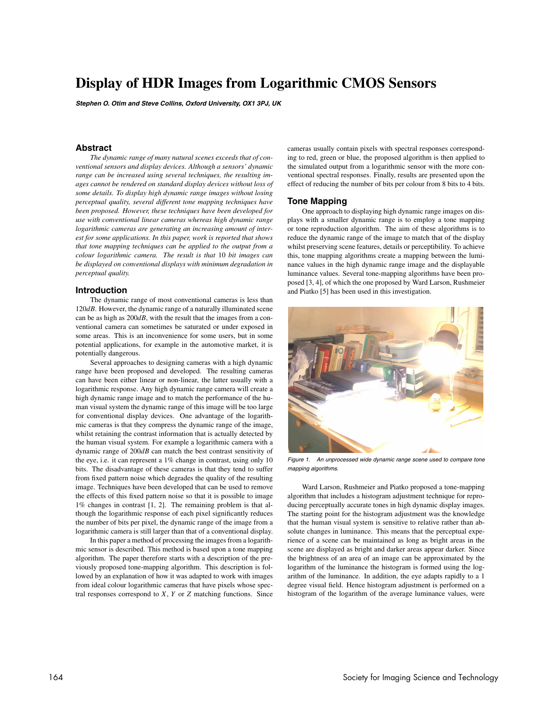# **Display of HDR Images from Logarithmic CMOS Sensors**

**Stephen O. Otim and Steve Collins, Oxford University, OX1 3PJ, UK**

## **Abstract**

*The dynamic range of many natural scenes exceeds that of conventional sensors and display devices. Although a sensors' dynamic range can be increased using several techniques, the resulting images cannot be rendered on standard display devices without loss of some details. To display high dynamic range images without losing perceptual quality, several different tone mapping techniques have been proposed. However, these techniques have been developed for use with conventional linear cameras whereas high dynamic range logarithmic cameras are generating an increasing amount of interest for some applications. In this paper, work is reported that shows that tone mapping techniques can be applied to the output from a colour logarithmic camera. The result is that* 10 *bit images can be displayed on conventional displays with minimum degradation in perceptual quality.*

# **Introduction**

The dynamic range of most conventional cameras is less than 120*dB*. However, the dynamic range of a naturally illuminated scene can be as high as 200*dB*, with the result that the images from a conventional camera can sometimes be saturated or under exposed in some areas. This is an inconvenience for some users, but in some potential applications, for example in the automotive market, it is potentially dangerous.

Several approaches to designing cameras with a high dynamic range have been proposed and developed. The resulting cameras can have been either linear or non-linear, the latter usually with a logarithmic response. Any high dynamic range camera will create a high dynamic range image and to match the performance of the human visual system the dynamic range of this image will be too large for conventional display devices. One advantage of the logarithmic cameras is that they compress the dynamic range of the image, whilst retaining the contrast information that is actually detected by the human visual system. For example a logarithmic camera with a dynamic range of 200*dB* can match the best contrast sensitivity of the eye, i.e. it can represent a 1% change in contrast, using only 10 bits. The disadvantage of these cameras is that they tend to suffer from fixed pattern noise which degrades the quality of the resulting image. Techniques have been developed that can be used to remove the effects of this fixed pattern noise so that it is possible to image 1% changes in contrast [1, 2]. The remaining problem is that although the logarithmic response of each pixel significantly reduces the number of bits per pixel, the dynamic range of the image from a logarithmic camera is still larger than that of a conventional display.

In this paper a method of processing the images from a logarithmic sensor is described. This method is based upon a tone mapping algorithm. The paper therefore starts with a description of the previously proposed tone-mapping algorithm. This description is followed by an explanation of how it was adapted to work with images from ideal colour logarithmic cameras that have pixels whose spectral responses correspond to *X*, *Y* or *Z* matching functions. Since cameras usually contain pixels with spectral responses corresponding to red, green or blue, the proposed algorithm is then applied to the simulated output from a logarithmic sensor with the more conventional spectral responses. Finally, results are presented upon the effect of reducing the number of bits per colour from 8 bits to 4 bits.

## **Tone Mapping**

One approach to displaying high dynamic range images on displays with a smaller dynamic range is to employ a tone mapping or tone reproduction algorithm. The aim of these algorithms is to reduce the dynamic range of the image to match that of the display whilst preserving scene features, details or perceptibility. To achieve this, tone mapping algorithms create a mapping between the luminance values in the high dynamic range image and the displayable luminance values. Several tone-mapping algorithms have been proposed [3, 4], of which the one proposed by Ward Larson, Rushmeier and Piatko [5] has been used in this investigation.



Figure 1. An unprocessed wide dynamic range scene used to compare tone mapping algorithms.

Ward Larson, Rushmeier and Piatko proposed a tone-mapping algorithm that includes a histogram adjustment technique for reproducing perceptually accurate tones in high dynamic display images. The starting point for the histogram adjustment was the knowledge that the human visual system is sensitive to relative rather than absolute changes in luminance. This means that the perceptual experience of a scene can be maintained as long as bright areas in the scene are displayed as bright and darker areas appear darker. Since the brightness of an area of an image can be approximated by the logarithm of the luminance the histogram is formed using the logarithm of the luminance. In addition, the eye adapts rapidly to a 1 degree visual field. Hence histogram adjustment is performed on a histogram of the logarithm of the average luminance values, were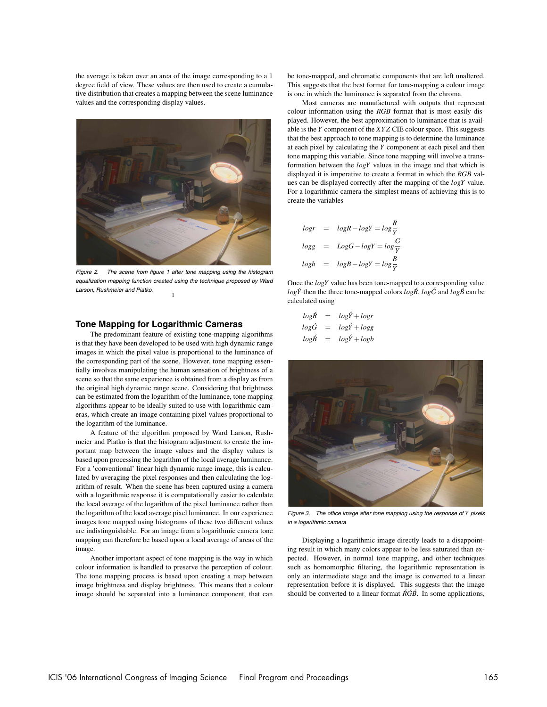the average is taken over an area of the image corresponding to a 1 degree field of view. These values are then used to create a cumulative distribution that creates a mapping between the scene luminance values and the corresponding display values.



Figure 2. The scene from figure 1 after tone mapping using the histogram equalization mapping function created using the technique proposed by Ward Larson, Rushmeier and Piatko. 1

### **Tone Mapping for Logarithmic Cameras**

The predominant feature of existing tone-mapping algorithms is that they have been developed to be used with high dynamic range images in which the pixel value is proportional to the luminance of the corresponding part of the scene. However, tone mapping essentially involves manipulating the human sensation of brightness of a scene so that the same experience is obtained from a display as from the original high dynamic range scene. Considering that brightness can be estimated from the logarithm of the luminance, tone mapping algorithms appear to be ideally suited to use with logarithmic cameras, which create an image containing pixel values proportional to the logarithm of the luminance.

A feature of the algorithm proposed by Ward Larson, Rushmeier and Piatko is that the histogram adjustment to create the important map between the image values and the display values is based upon processing the logarithm of the local average luminance. For a 'conventional' linear high dynamic range image, this is calculated by averaging the pixel responses and then calculating the logarithm of result. When the scene has been captured using a camera with a logarithmic response it is computationally easier to calculate the local average of the logarithm of the pixel luminance rather than the logarithm of the local average pixel luminance. In our experience images tone mapped using histograms of these two different values are indistinguishable. For an image from a logarithmic camera tone mapping can therefore be based upon a local average of areas of the image.

Another important aspect of tone mapping is the way in which colour information is handled to preserve the perception of colour. The tone mapping process is based upon creating a map between image brightness and display brightness. This means that a colour image should be separated into a luminance component, that can be tone-mapped, and chromatic components that are left unaltered. This suggests that the best format for tone-mapping a colour image is one in which the luminance is separated from the chroma.

Most cameras are manufactured with outputs that represent colour information using the *RGB* format that is most easily displayed. However, the best approximation to luminance that is available is the *Y* component of the *XYZ* CIE colour space. This suggests that the best approach to tone mapping is to determine the luminance at each pixel by calculating the *Y* component at each pixel and then tone mapping this variable. Since tone mapping will involve a transformation between the *logY* values in the image and that which is displayed it is imperative to create a format in which the *RGB* values can be displayed correctly after the mapping of the *logY* value. For a logarithmic camera the simplest means of achieving this is to create the variables

$$
logr = logR - logY = log\frac{R}{Y}
$$
  

$$
logg = LogG - logY = log\frac{G}{Y}
$$
  

$$
logb = logB - logY = log\frac{B}{Y}
$$

Once the *logY* value has been tone-mapped to a corresponding value  $log\acute{Y}$  then the three tone-mapped colors  $log\acute{R}$ ,  $log\acute{G}$  and  $log\acute{B}$  can be calculated using

$$
log\acute{R} = log\acute{Y} + logr
$$
  

$$
log\acute{G} = log\acute{Y} + logg
$$
  

$$
log\acute{B} = log\acute{Y} + logb
$$



Figure 3. The office image after tone mapping using the response of *Y* pixels in <sup>a</sup> logarithmic camera

Displaying a logarithmic image directly leads to a disappointing result in which many colors appear to be less saturated than expected. However, in normal tone mapping, and other techniques such as homomorphic filtering, the logarithmic representation is only an intermediate stage and the image is converted to a linear representation before it is displayed. This suggests that the image should be converted to a linear format  $\hat{R}\hat{G}\hat{B}$ . In some applications,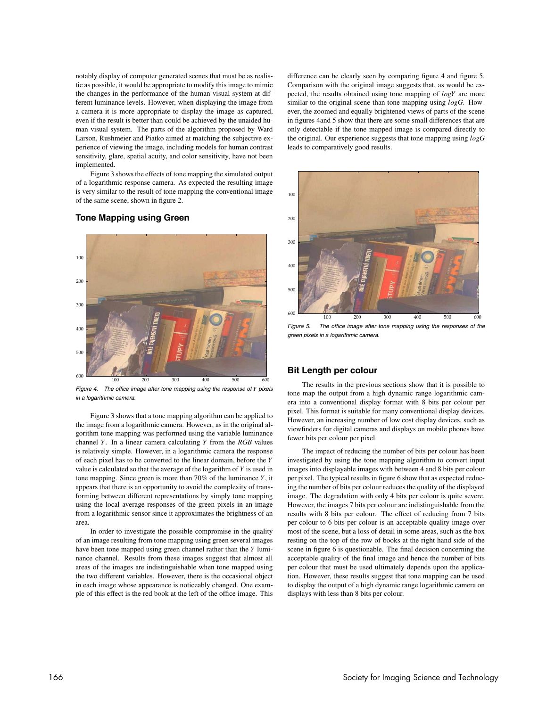notably display of computer generated scenes that must be as realistic as possible, it would be appropriate to modify this image to mimic the changes in the performance of the human visual system at different luminance levels. However, when displaying the image from a camera it is more appropriate to display the image as captured, even if the result is better than could be achieved by the unaided human visual system. The parts of the algorithm proposed by Ward Larson, Rushmeier and Piatko aimed at matching the subjective experience of viewing the image, including models for human contrast sensitivity, glare, spatial acuity, and color sensitivity, have not been implemented.

Figure 3 shows the effects of tone mapping the simulated output of a logarithmic response camera. As expected the resulting image is very similar to the result of tone mapping the conventional image of the same scene, shown in figure 2.

**Tone Mapping using Green**

# 100 200 300 400 500 600 100 200 300 400 500 600

Figure 4. The office image after tone mapping using the response of *Y* pixels in <sup>a</sup> logarithmic camera.

Figure 3 shows that a tone mapping algorithm can be applied to the image from a logarithmic camera. However, as in the original algorithm tone mapping was performed using the variable luminance channel *Y*. In a linear camera calculating *Y* from the *RGB* values is relatively simple. However, in a logarithmic camera the response of each pixel has to be converted to the linear domain, before the *Y* value is calculated so that the average of the logarithm of *Y* is used in tone mapping. Since green is more than 70% of the luminance *Y*, it appears that there is an opportunity to avoid the complexity of transforming between different representations by simply tone mapping using the local average responses of the green pixels in an image from a logarithmic sensor since it approximates the brightness of an area.

In order to investigate the possible compromise in the quality of an image resulting from tone mapping using green several images have been tone mapped using green channel rather than the *Y* luminance channel. Results from these images suggest that almost all areas of the images are indistinguishable when tone mapped using the two different variables. However, there is the occasional object in each image whose appearance is noticeably changed. One example of this effect is the red book at the left of the office image. This difference can be clearly seen by comparing figure 4 and figure 5. Comparison with the original image suggests that, as would be expected, the results obtained using tone mapping of *logY* are more similar to the original scene than tone mapping using *logG*. However, the zoomed and equally brightened views of parts of the scene in figures 4and 5 show that there are some small differences that are only detectable if the tone mapped image is compared directly to the original. Our experience suggests that tone mapping using *logG* leads to comparatively good results.



Figure 5. The office image after tone mapping using the responses of the green pixels in <sup>a</sup> logarithmic camera.

# **Bit Length per colour**

The results in the previous sections show that it is possible to tone map the output from a high dynamic range logarithmic camera into a conventional display format with 8 bits per colour per pixel. This format is suitable for many conventional display devices. However, an increasing number of low cost display devices, such as viewfinders for digital cameras and displays on mobile phones have fewer bits per colour per pixel.

The impact of reducing the number of bits per colour has been investigated by using the tone mapping algorithm to convert input images into displayable images with between 4 and 8 bits per colour per pixel. The typical results in figure 6 show that as expected reducing the number of bits per colour reduces the quality of the displayed image. The degradation with only 4 bits per colour is quite severe. However, the images 7 bits per colour are indistinguishable from the results with 8 bits per colour. The effect of reducing from 7 bits per colour to 6 bits per colour is an acceptable quality image over most of the scene, but a loss of detail in some areas, such as the box resting on the top of the row of books at the right hand side of the scene in figure 6 is questionable. The final decision concerning the acceptable quality of the final image and hence the number of bits per colour that must be used ultimately depends upon the application. However, these results suggest that tone mapping can be used to display the output of a high dynamic range logarithmic camera on displays with less than 8 bits per colour.

# 166 Society for Imaging Science and Technology